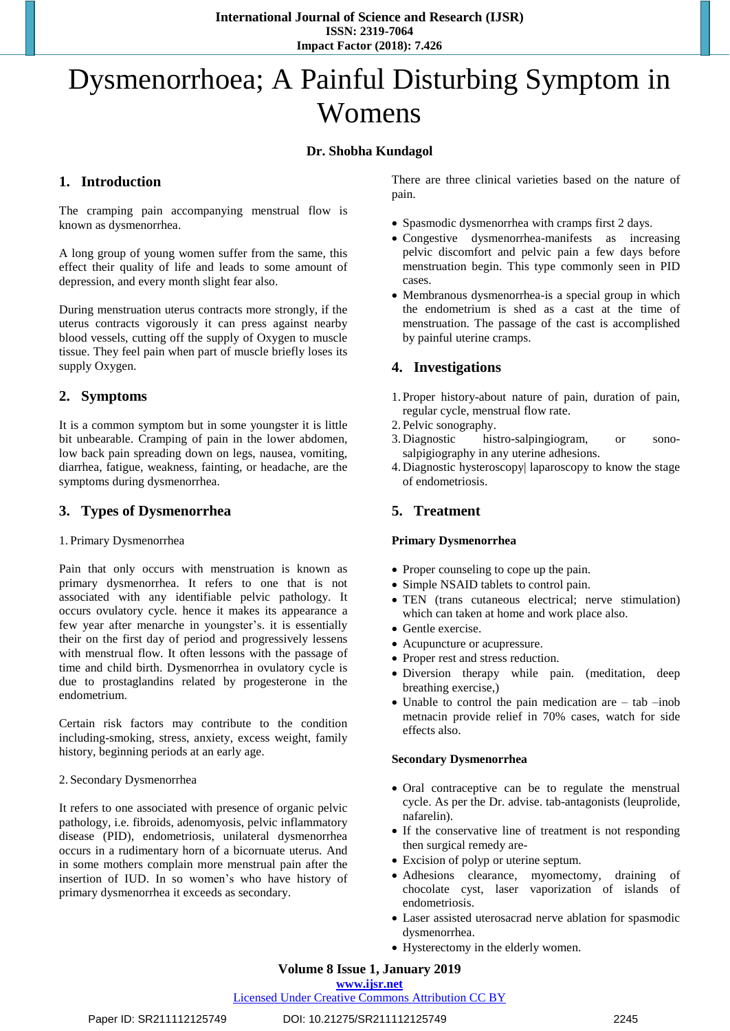# Dysmenorrhoea; A Painful Disturbing Symptom in Womens

### **Dr. Shobha Kundagol**

# **1. Introduction**

The cramping pain accompanying menstrual flow is known as dysmenorrhea.

A long group of young women suffer from the same, this effect their quality of life and leads to some amount of depression, and every month slight fear also.

During menstruation uterus contracts more strongly, if the uterus contracts vigorously it can press against nearby blood vessels, cutting off the supply of Oxygen to muscle tissue. They feel pain when part of muscle briefly loses its supply Oxygen.

## **2. Symptoms**

It is a common symptom but in some youngster it is little bit unbearable. Cramping of pain in the lower abdomen, low back pain spreading down on legs, nausea, vomiting, diarrhea, fatigue, weakness, fainting, or headache, are the symptoms during dysmenorrhea.

## **3. Types of Dysmenorrhea**

#### 1. Primary Dysmenorrhea

Pain that only occurs with menstruation is known as primary dysmenorrhea. It refers to one that is not associated with any identifiable pelvic pathology. It occurs ovulatory cycle. hence it makes its appearance a few year after menarche in youngster's. it is essentially their on the first day of period and progressively lessens with menstrual flow. It often lessons with the passage of time and child birth. Dysmenorrhea in ovulatory cycle is due to prostaglandins related by progesterone in the endometrium.

Certain risk factors may contribute to the condition including-smoking, stress, anxiety, excess weight, family history, beginning periods at an early age.

#### 2. Secondary Dysmenorrhea

It refers to one associated with presence of organic pelvic pathology, i.e. fibroids, adenomyosis, pelvic inflammatory disease (PID), endometriosis, unilateral dysmenorrhea occurs in a rudimentary horn of a bicornuate uterus. And in some mothers complain more menstrual pain after the insertion of IUD. In so women's who have history of primary dysmenorrhea it exceeds as secondary.

There are three clinical varieties based on the nature of pain.

- Spasmodic dysmenorrhea with cramps first 2 days.
- Congestive dysmenorrhea-manifests as increasing pelvic discomfort and pelvic pain a few days before menstruation begin. This type commonly seen in PID cases.
- Membranous dysmenorrhea-is a special group in which the endometrium is shed as a cast at the time of menstruation. The passage of the cast is accomplished by painful uterine cramps.

## **4. Investigations**

- 1. Proper history-about nature of pain, duration of pain, regular cycle, menstrual flow rate.
- 2. Pelvic sonography.
- 3. Diagnostic histro-salpingiogram, or sonosalpigiography in any uterine adhesions.
- 4. Diagnostic hysteroscopy| laparoscopy to know the stage of endometriosis.

### **5. Treatment**

#### **Primary Dysmenorrhea**

- Proper counseling to cope up the pain.
- Simple NSAID tablets to control pain.
- TEN (trans cutaneous electrical; nerve stimulation) which can taken at home and work place also.
- Gentle exercise.
- Acupuncture or acupressure.
- Proper rest and stress reduction.
- Diversion therapy while pain. (meditation, deep breathing exercise,)
- Unable to control the pain medication are tab –inob metnacin provide relief in 70% cases, watch for side effects also.

#### **Secondary Dysmenorrhea**

- Oral contraceptive can be to regulate the menstrual cycle. As per the Dr. advise. tab-antagonists (leuprolide, nafarelin).
- If the conservative line of treatment is not responding then surgical remedy are-
- Excision of polyp or uterine septum.
- Adhesions clearance, myomectomy, draining of chocolate cyst, laser vaporization of islands of endometriosis.
- Laser assisted uterosacrad nerve ablation for spasmodic dysmenorrhea.
- Hysterectomy in the elderly women.

# **Volume 8 Issue 1, January 2019**

#### **www.ijsr.net**

## Licensed Under Creative Commons Attribution CC BY